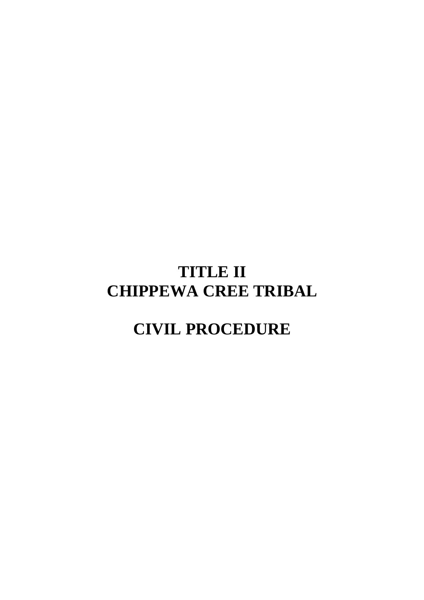# **TITLE II CHIPPEWA CREE TRIBAL**

# **CIVIL PROCEDURE**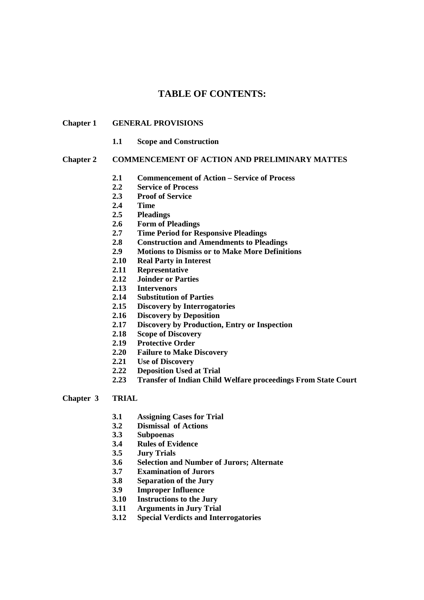# **TABLE OF CONTENTS:**

#### **Chapter 1 GENERAL PROVISIONS**

 **1.1 Scope and Construction** 

#### **Chapter 2 COMMENCEMENT OF ACTION AND PRELIMINARY MATTES**

- **2.1 Commencement of Action Service of Process**
- **2.2 Service of Process**
- **2.3 Proof of Service**
- **2.4 Time**
- **2.5 Pleadings**
- **2.6 Form of Pleadings**
- **2.7 Time Period for Responsive Pleadings**
- **2.8 Construction and Amendments to Pleadings**
- **2.9 Motions to Dismiss or to Make More Definitions**
- **2.10 Real Party in Interest**
- **2.11 Representative**
- **2.12 Joinder or Parties**
- **2.13 Intervenors**
- **2.14 Substitution of Parties**
- **2.15 Discovery by Interrogatories**
- **2.16 Discovery by Deposition**
- **2.17 Discovery by Production, Entry or Inspection**
- **2.18 Scope of Discovery**
- **2.19 Protective Order**
- **2.20 Failure to Make Discovery**
- **2.21 Use of Discovery**
- **2.22 Deposition Used at Trial**
- **2.23 Transfer of Indian Child Welfare proceedings From State Court**

#### **Chapter 3 TRIAL**

- **3.1 Assigning Cases for Trial**
- **3.2 Dismissal of Actions**
- **3.3 Subpoenas**
- **3.4 Rules of Evidence**
- **3.5 Jury Trials**
- **3.6 Selection and Number of Jurors; Alternate**
- **3.7 Examination of Jurors**
- **3.8 Separation of the Jury**
- **3.9 Improper Influence**
- **3.10 Instructions to the Jury**
- **3.11 Arguments in Jury Trial**
- **3.12 Special Verdicts and Interrogatories**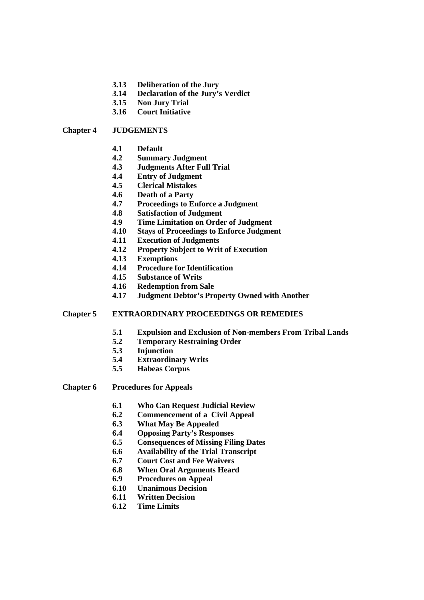- **3.13 Deliberation of the Jury**
- **3.14 Declaration of the Jury's Verdict**
- **3.15 Non Jury Trial**
- **3.16 Court Initiative**

#### **Chapter 4 JUDGEMENTS**

- **4.1 Default**
- **4.2 Summary Judgment**
- **4.3 Judgments After Full Trial**
- **4.4 Entry of Judgment**
- **4.5 Clerical Mistakes**
- **4.6 Death of a Party**
- **4.7 Proceedings to Enforce a Judgment**
- **4.8 Satisfaction of Judgment**
- **4.9 Time Limitation on Order of Judgment**
- **4.10 Stays of Proceedings to Enforce Judgment**
- **4.11 Execution of Judgments**
- **4.12 Property Subject to Writ of Execution**
- **4.13 Exemptions**
- **4.14 Procedure for Identification**
- **4.15 Substance of Writs**
- **4.16 Redemption from Sale**
- **4.17 Judgment Debtor's Property Owned with Another**

#### **Chapter 5 EXTRAORDINARY PROCEEDINGS OR REMEDIES**

- **5.1 Expulsion and Exclusion of Non-members From Tribal Lands**
- **5.2 Temporary Restraining Order**
- **5.3 Injunction**
- **5.4 Extraordinary Writs**
- **5.5 Habeas Corpus**
- **Chapter 6 Procedures for Appeals** 
	- **6.1 Who Can Request Judicial Review**
	- **6.2 Commencement of a Civil Appeal**
	- **6.3 What May Be Appealed**
	- **6.4 Opposing Party's Responses**
	- **6.5 Consequences of Missing Filing Dates**
	- **6.6 Availability of the Trial Transcript**
	- **6.7 Court Cost and Fee Waivers**
	- **6.8 When Oral Arguments Heard**
	- **6.9 Procedures on Appeal**
	- **6.10 Unanimous Decision**
	- **6.11 Written Decision**
	- **6.12 Time Limits**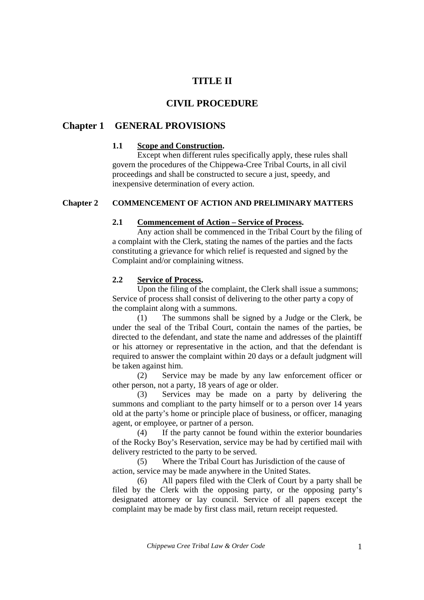# **TITLE II**

# **CIVIL PROCEDURE**

# **Chapter 1 GENERAL PROVISIONS**

## **1.1 Scope and Construction.**

Except when different rules specifically apply, these rules shall govern the procedures of the Chippewa-Cree Tribal Courts, in all civil proceedings and shall be constructed to secure a just, speedy, and inexpensive determination of every action.

## **Chapter 2 COMMENCEMENT OF ACTION AND PRELIMINARY MATTERS**

#### **2.1 Commencement of Action – Service of Process.**

Any action shall be commenced in the Tribal Court by the filing of a complaint with the Clerk, stating the names of the parties and the facts constituting a grievance for which relief is requested and signed by the Complaint and/or complaining witness.

## **2.2 Service of Process.**

Upon the filing of the complaint, the Clerk shall issue a summons; Service of process shall consist of delivering to the other party a copy of the complaint along with a summons.

 (1) The summons shall be signed by a Judge or the Clerk, be under the seal of the Tribal Court, contain the names of the parties, be directed to the defendant, and state the name and addresses of the plaintiff or his attorney or representative in the action, and that the defendant is required to answer the complaint within 20 days or a default judgment will be taken against him.

 (2) Service may be made by any law enforcement officer or other person, not a party, 18 years of age or older.

 (3) Services may be made on a party by delivering the summons and compliant to the party himself or to a person over 14 years old at the party's home or principle place of business, or officer, managing agent, or employee, or partner of a person.

 (4) If the party cannot be found within the exterior boundaries of the Rocky Boy's Reservation, service may be had by certified mail with delivery restricted to the party to be served.

 (5) Where the Tribal Court has Jurisdiction of the cause of action, service may be made anywhere in the United States.

 (6) All papers filed with the Clerk of Court by a party shall be filed by the Clerk with the opposing party, or the opposing party's designated attorney or lay council. Service of all papers except the complaint may be made by first class mail, return receipt requested.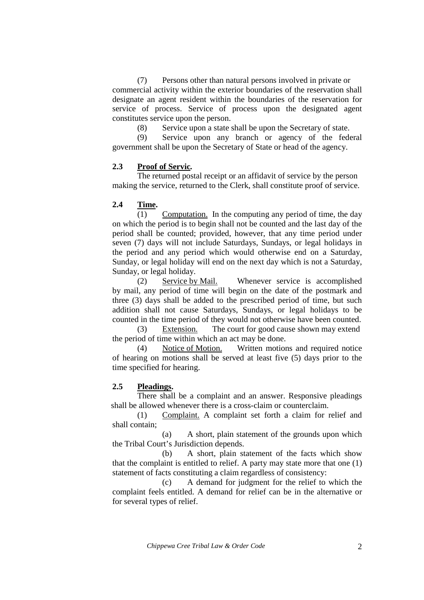(7) Persons other than natural persons involved in private or commercial activity within the exterior boundaries of the reservation shall designate an agent resident within the boundaries of the reservation for service of process. Service of process upon the designated agent constitutes service upon the person.

(8) Service upon a state shall be upon the Secretary of state.

 (9) Service upon any branch or agency of the federal government shall be upon the Secretary of State or head of the agency.

## **2.3 Proof of Servic***.*

 The returned postal receipt or an affidavit of service by the person making the service, returned to the Clerk, shall constitute proof of service.

## **2.4 Time.**

 (1) Computation. In the computing any period of time, the day on which the period is to begin shall not be counted and the last day of the period shall be counted; provided, however, that any time period under seven (7) days will not include Saturdays, Sundays, or legal holidays in the period and any period which would otherwise end on a Saturday, Sunday, or legal holiday will end on the next day which is not a Saturday, Sunday, or legal holiday.

 (2) Service by Mail. Whenever service is accomplished by mail, any period of time will begin on the date of the postmark and three (3) days shall be added to the prescribed period of time, but such addition shall not cause Saturdays, Sundays, or legal holidays to be counted in the time period of they would not otherwise have been counted.

 (3) Extension. The court for good cause shown may extend the period of time within which an act may be done.

 (4) Notice of Motion. Written motions and required notice of hearing on motions shall be served at least five (5) days prior to the time specified for hearing.

#### **2.5 Pleadings.**

There shall be a complaint and an answer. Responsive pleadings shall be allowed whenever there is a cross-claim or counterclaim.

 (1) Complaint. A complaint set forth a claim for relief and shall contain;

 (a) A short, plain statement of the grounds upon which the Tribal Court's Jurisdiction depends.

 (b) A short, plain statement of the facts which show that the complaint is entitled to relief. A party may state more that one (1) statement of facts constituting a claim regardless of consistency:

 (c) A demand for judgment for the relief to which the complaint feels entitled. A demand for relief can be in the alternative or for several types of relief.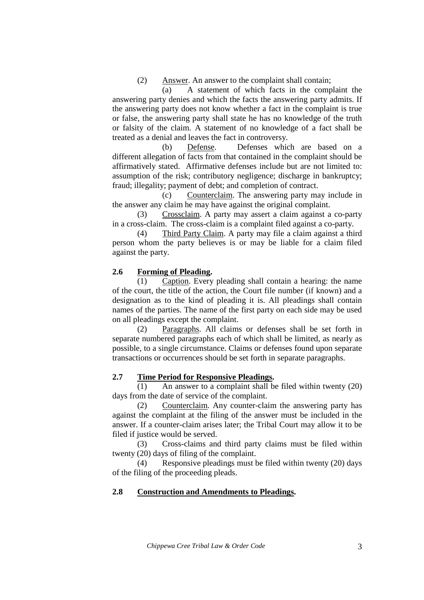(2) Answer. An answer to the complaint shall contain;

 (a) A statement of which facts in the complaint the answering party denies and which the facts the answering party admits. If the answering party does not know whether a fact in the complaint is true or false, the answering party shall state he has no knowledge of the truth or falsity of the claim. A statement of no knowledge of a fact shall be treated as a denial and leaves the fact in controversy.

 (b) Defense. Defenses which are based on a different allegation of facts from that contained in the complaint should be affirmatively stated. Affirmative defenses include but are not limited to: assumption of the risk; contributory negligence; discharge in bankruptcy; fraud; illegality; payment of debt; and completion of contract.

 (c) Counterclaim. The answering party may include in the answer any claim he may have against the original complaint.

 (3) Crossclaim. A party may assert a claim against a co-party in a cross-claim. The cross-claim is a complaint filed against a co-party.

 (4) Third Party Claim. A party may file a claim against a third person whom the party believes is or may be liable for a claim filed against the party.

## **2.6 Forming of Pleading.**

 (1) Caption. Every pleading shall contain a hearing: the name of the court, the title of the action, the Court file number (if known) and a designation as to the kind of pleading it is. All pleadings shall contain names of the parties. The name of the first party on each side may be used on all pleadings except the complaint.

 (2) Paragraphs. All claims or defenses shall be set forth in separate numbered paragraphs each of which shall be limited, as nearly as possible, to a single circumstance. Claims or defenses found upon separate transactions or occurrences should be set forth in separate paragraphs.

#### **2.7 Time Period for Responsive Pleadings.**

(1) An answer to a complaint shall be filed within twenty (20) days from the date of service of the complaint.

 (2) Counterclaim. Any counter-claim the answering party has against the complaint at the filing of the answer must be included in the answer. If a counter-claim arises later; the Tribal Court may allow it to be filed if justice would be served.

 (3) Cross-claims and third party claims must be filed within twenty (20) days of filing of the complaint.

 (4) Responsive pleadings must be filed within twenty (20) days of the filing of the proceeding pleads.

#### **2.8 Construction and Amendments to Pleadings.**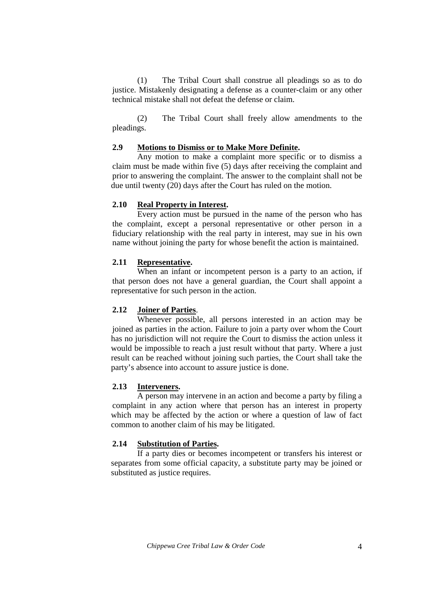(1) The Tribal Court shall construe all pleadings so as to do justice. Mistakenly designating a defense as a counter-claim or any other technical mistake shall not defeat the defense or claim.

 (2) The Tribal Court shall freely allow amendments to the pleadings.

## **2.9 Motions to Dismiss or to Make More Definite.**

Any motion to make a complaint more specific or to dismiss a claim must be made within five (5) days after receiving the complaint and prior to answering the complaint. The answer to the complaint shall not be due until twenty (20) days after the Court has ruled on the motion.

## **2.10 Real Property in Interest.**

Every action must be pursued in the name of the person who has the complaint, except a personal representative or other person in a fiduciary relationship with the real party in interest, may sue in his own name without joining the party for whose benefit the action is maintained.

## **2.11 Representative.**

When an infant or incompetent person is a party to an action, if that person does not have a general guardian, the Court shall appoint a representative for such person in the action.

## **2.12 Joiner of Parties**.

Whenever possible, all persons interested in an action may be joined as parties in the action. Failure to join a party over whom the Court has no jurisdiction will not require the Court to dismiss the action unless it would be impossible to reach a just result without that party. Where a just result can be reached without joining such parties, the Court shall take the party's absence into account to assure justice is done.

## **2.13 Interveners.**

A person may intervene in an action and become a party by filing a complaint in any action where that person has an interest in property which may be affected by the action or where a question of law of fact common to another claim of his may be litigated.

#### **2.14 Substitution of Parties.**

If a party dies or becomes incompetent or transfers his interest or separates from some official capacity, a substitute party may be joined or substituted as justice requires.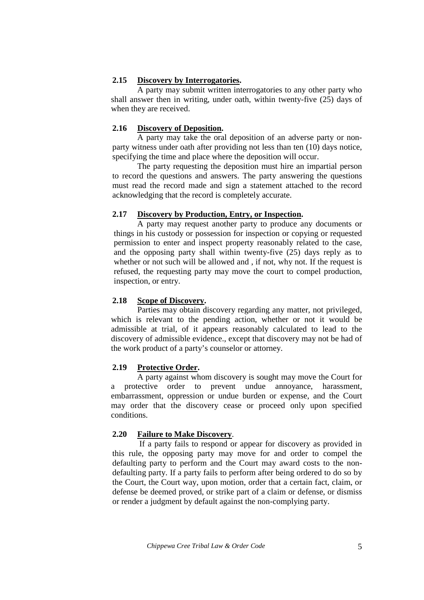## **2.15 Discovery by Interrogatories.**

 A party may submit written interrogatories to any other party who shall answer then in writing, under oath, within twenty-five (25) days of when they are received.

## **2.16 Discovery of Deposition.**

A party may take the oral deposition of an adverse party or non party witness under oath after providing not less than ten (10) days notice, specifying the time and place where the deposition will occur.

 The party requesting the deposition must hire an impartial person to record the questions and answers. The party answering the questions must read the record made and sign a statement attached to the record acknowledging that the record is completely accurate.

## **2.17 Discovery by Production, Entry, or Inspection.**

A party may request another party to produce any documents or things in his custody or possession for inspection or copying or requested permission to enter and inspect property reasonably related to the case, and the opposing party shall within twenty-five (25) days reply as to whether or not such will be allowed and , if not, why not. If the request is refused, the requesting party may move the court to compel production, inspection, or entry.

## **2.18 Scope of Discovery.**

Parties may obtain discovery regarding any matter, not privileged, which is relevant to the pending action, whether or not it would be admissible at trial, of it appears reasonably calculated to lead to the discovery of admissible evidence., except that discovery may not be had of the work product of a party's counselor or attorney.

## **2.19 Protective Order.**

A party against whom discovery is sought may move the Court for a protective order to prevent undue annoyance, harassment, embarrassment, oppression or undue burden or expense, and the Court may order that the discovery cease or proceed only upon specified conditions.

## **2.20 Failure to Make Discovery**.

 If a party fails to respond or appear for discovery as provided in this rule, the opposing party may move for and order to compel the defaulting party to perform and the Court may award costs to the nondefaulting party. If a party fails to perform after being ordered to do so by the Court, the Court way, upon motion, order that a certain fact, claim, or defense be deemed proved, or strike part of a claim or defense, or dismiss or render a judgment by default against the non-complying party.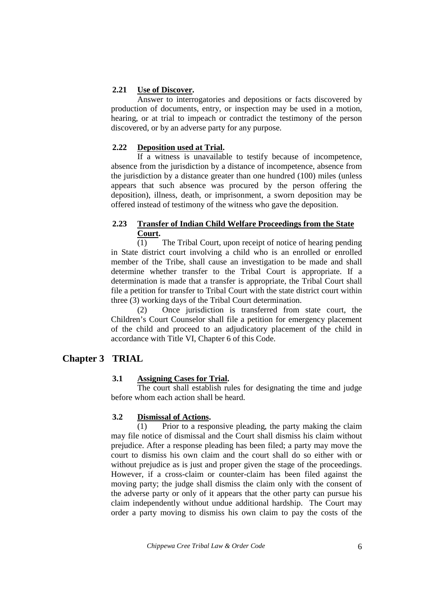## **2.21 Use of Discover.**

 Answer to interrogatories and depositions or facts discovered by production of documents, entry, or inspection may be used in a motion, hearing, or at trial to impeach or contradict the testimony of the person discovered, or by an adverse party for any purpose.

## **2.22 Deposition used at Trial.**

If a witness is unavailable to testify because of incompetence, absence from the jurisdiction by a distance of incompetence, absence from the jurisdiction by a distance greater than one hundred (100) miles (unless appears that such absence was procured by the person offering the deposition), illness, death, or imprisonment, a sworn deposition may be offered instead of testimony of the witness who gave the deposition.

## **2.23 Transfer of Indian Child Welfare Proceedings from the State Court.**

(1) The Tribal Court, upon receipt of notice of hearing pending in State district court involving a child who is an enrolled or enrolled member of the Tribe, shall cause an investigation to be made and shall determine whether transfer to the Tribal Court is appropriate. If a determination is made that a transfer is appropriate, the Tribal Court shall file a petition for transfer to Tribal Court with the state district court within three (3) working days of the Tribal Court determination.

 (2) Once jurisdiction is transferred from state court, the Children's Court Counselor shall file a petition for emergency placement of the child and proceed to an adjudicatory placement of the child in accordance with Title VI, Chapter 6 of this Code.

# **Chapter 3 TRIAL**

## **3.1 Assigning Cases for Trial.**

The court shall establish rules for designating the time and judge before whom each action shall be heard.

## **3.2 Dismissal of Actions.**

(1) Prior to a responsive pleading, the party making the claim may file notice of dismissal and the Court shall dismiss his claim without prejudice. After a response pleading has been filed; a party may move the court to dismiss his own claim and the court shall do so either with or without prejudice as is just and proper given the stage of the proceedings. However, if a cross-claim or counter-claim has been filed against the moving party; the judge shall dismiss the claim only with the consent of the adverse party or only of it appears that the other party can pursue his claim independently without undue additional hardship. The Court may order a party moving to dismiss his own claim to pay the costs of the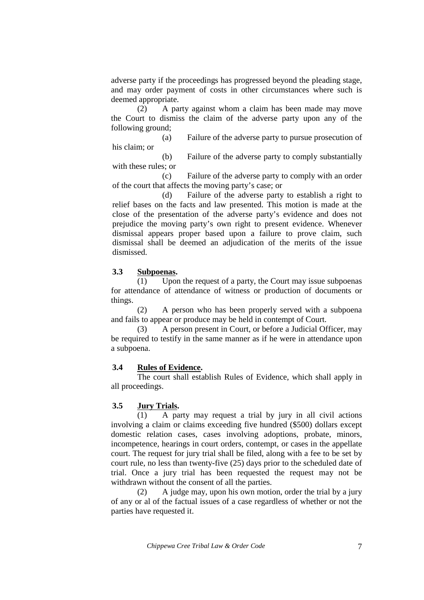adverse party if the proceedings has progressed beyond the pleading stage, and may order payment of costs in other circumstances where such is deemed appropriate.

 (2) A party against whom a claim has been made may move the Court to dismiss the claim of the adverse party upon any of the following ground;

 (a) Failure of the adverse party to pursue prosecution of his claim; or

 (b) Failure of the adverse party to comply substantially with these rules; or

 (c) Failure of the adverse party to comply with an order of the court that affects the moving party's case; or

 (d) Failure of the adverse party to establish a right to relief bases on the facts and law presented. This motion is made at the close of the presentation of the adverse party's evidence and does not prejudice the moving party's own right to present evidence. Whenever dismissal appears proper based upon a failure to prove claim, such dismissal shall be deemed an adjudication of the merits of the issue dismissed.

#### **3.3 Subpoenas.**

(1) Upon the request of a party, the Court may issue subpoenas for attendance of attendance of witness or production of documents or things.

 (2) A person who has been properly served with a subpoena and fails to appear or produce may be held in contempt of Court.

 (3) A person present in Court, or before a Judicial Officer, may be required to testify in the same manner as if he were in attendance upon a subpoena.

#### **3.4 Rules of Evidence.**

The court shall establish Rules of Evidence, which shall apply in all proceedings.

#### **3.5 Jury Trials.**

(1) A party may request a trial by jury in all civil actions involving a claim or claims exceeding five hundred (\$500) dollars except domestic relation cases, cases involving adoptions, probate, minors, incompetence, hearings in court orders, contempt, or cases in the appellate court. The request for jury trial shall be filed, along with a fee to be set by court rule, no less than twenty-five (25) days prior to the scheduled date of trial. Once a jury trial has been requested the request may not be withdrawn without the consent of all the parties.

 (2) A judge may, upon his own motion, order the trial by a jury of any or al of the factual issues of a case regardless of whether or not the parties have requested it.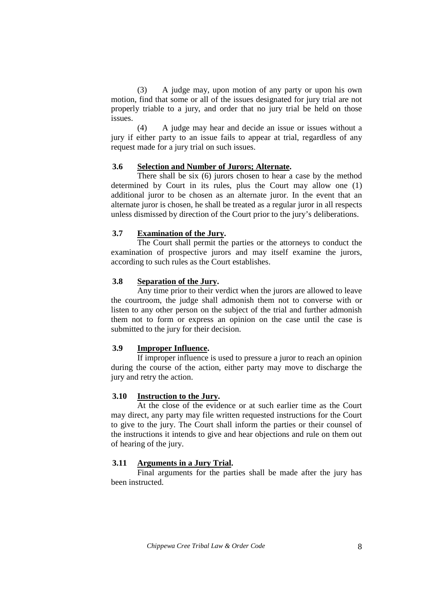(3) A judge may, upon motion of any party or upon his own motion, find that some or all of the issues designated for jury trial are not properly triable to a jury, and order that no jury trial be held on those issues.

 (4) A judge may hear and decide an issue or issues without a jury if either party to an issue fails to appear at trial, regardless of any request made for a jury trial on such issues.

#### **3.6 Selection and Number of Jurors; Alternate.**

There shall be six (6) jurors chosen to hear a case by the method determined by Court in its rules, plus the Court may allow one (1) additional juror to be chosen as an alternate juror. In the event that an alternate juror is chosen, he shall be treated as a regular juror in all respects unless dismissed by direction of the Court prior to the jury's deliberations.

#### **3.7 Examination of the Jury.**

 The Court shall permit the parties or the attorneys to conduct the examination of prospective jurors and may itself examine the jurors, according to such rules as the Court establishes.

#### **3.8 Separation of the Jury.**

Any time prior to their verdict when the jurors are allowed to leave the courtroom, the judge shall admonish them not to converse with or listen to any other person on the subject of the trial and further admonish them not to form or express an opinion on the case until the case is submitted to the jury for their decision.

#### **3.9 Improper Influence.**

 If improper influence is used to pressure a juror to reach an opinion during the course of the action, either party may move to discharge the jury and retry the action.

#### **3.10 Instruction to the Jury.**

At the close of the evidence or at such earlier time as the Court may direct, any party may file written requested instructions for the Court to give to the jury. The Court shall inform the parties or their counsel of the instructions it intends to give and hear objections and rule on them out of hearing of the jury.

#### **3.11 Arguments in a Jury Trial.**

 Final arguments for the parties shall be made after the jury has been instructed.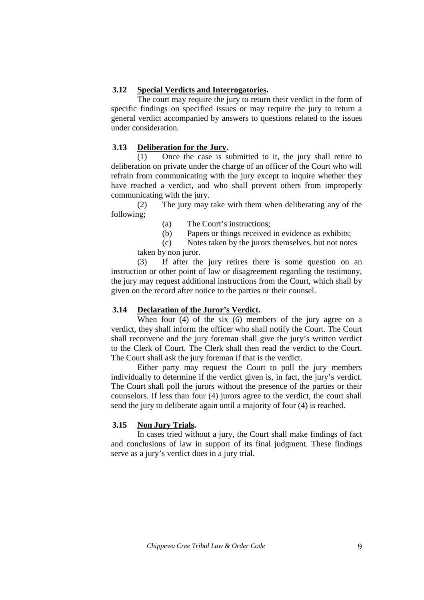## **3.12 Special Verdicts and Interrogatories.**

The court may require the jury to return their verdict in the form of specific findings on specified issues or may require the jury to return a general verdict accompanied by answers to questions related to the issues under consideration.

### **3.13 Deliberation for the Jury.**

(1) Once the case is submitted to it, the jury shall retire to deliberation on private under the charge of an officer of the Court who will refrain from communicating with the jury except to inquire whether they have reached a verdict, and who shall prevent others from improperly communicating with the jury.

 (2) The jury may take with them when deliberating any of the following;

(a) The Court's instructions;

(b) Papers or things received in evidence as exhibits;

 (c) Notes taken by the jurors themselves, but not notes taken by non juror.

 (3) If after the jury retires there is some question on an instruction or other point of law or disagreement regarding the testimony, the jury may request additional instructions from the Court, which shall by given on the record after notice to the parties or their counsel.

## **3.14 Declaration of the Juror's Verdict.**

When four (4) of the six (6) members of the jury agree on a verdict, they shall inform the officer who shall notify the Court. The Court shall reconvene and the jury foreman shall give the jury's written verdict to the Clerk of Court. The Clerk shall then read the verdict to the Court. The Court shall ask the jury foreman if that is the verdict.

 Either party may request the Court to poll the jury members individually to determine if the verdict given is, in fact, the jury's verdict. The Court shall poll the jurors without the presence of the parties or their counselors. If less than four (4) jurors agree to the verdict, the court shall send the jury to deliberate again until a majority of four (4) is reached.

## **3.15 Non Jury Trials.**

In cases tried without a jury, the Court shall make findings of fact and conclusions of law in support of its final judgment. These findings serve as a jury's verdict does in a jury trial.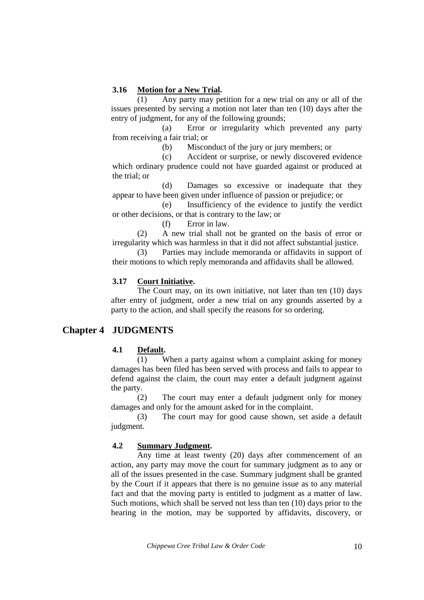## **3.16 Motion for a New Trial.**

(1) Any party may petition for a new trial on any or all of the issues presented by serving a motion not later than ten (10) days after the entry of judgment, for any of the following grounds;

 (a) Error or irregularity which prevented any party from receiving a fair trial; or

(b) Misconduct of the jury or jury members; or

 (c) Accident or surprise, or newly discovered evidence which ordinary prudence could not have guarded against or produced at the trial; or

 (d) Damages so excessive or inadequate that they appear to have been given under influence of passion or prejudice; or

 (e) Insufficiency of the evidence to justify the verdict or other decisions, or that is contrary to the law; or

(f) Error in law.

 (2) A new trial shall not be granted on the basis of error or irregularity which was harmless in that it did not affect substantial justice.

 (3) Parties may include memoranda or affidavits in support of their motions to which reply memoranda and affidavits shall be allowed.

## **3.17 Court Initiative.**

The Court may, on its own initiative, not later than ten (10) days after entry of judgment, order a new trial on any grounds asserted by a party to the action, and shall specify the reasons for so ordering.

# **Chapter 4 JUDGMENTS**

## **4.1 Default.**

(1) When a party against whom a complaint asking for money damages has been filed has been served with process and fails to appear to defend against the claim, the court may enter a default judgment against the party.

 (2) The court may enter a default judgment only for money damages and only for the amount asked for in the complaint.

 (3) The court may for good cause shown, set aside a default judgment.

## **4.2 Summary Judgment.**

Any time at least twenty (20) days after commencement of an action, any party may move the court for summary judgment as to any or all of the issues presented in the case. Summary judgment shall be granted by the Court if it appears that there is no genuine issue as to any material fact and that the moving party is entitled to judgment as a matter of law. Such motions, which shall be served not less than ten (10) days prior to the hearing in the motion, may be supported by affidavits, discovery, or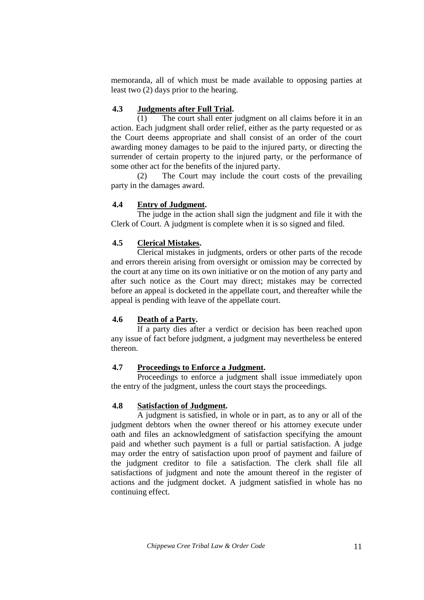memoranda, all of which must be made available to opposing parties at least two (2) days prior to the hearing.

## **4.3 Judgments after Full Trial.**

(1) The court shall enter judgment on all claims before it in an action. Each judgment shall order relief, either as the party requested or as the Court deems appropriate and shall consist of an order of the court awarding money damages to be paid to the injured party, or directing the surrender of certain property to the injured party, or the performance of some other act for the benefits of the injured party.

 (2) The Court may include the court costs of the prevailing party in the damages award.

## **4.4 Entry of Judgment.**

The judge in the action shall sign the judgment and file it with the Clerk of Court. A judgment is complete when it is so signed and filed.

## **4.5 Clerical Mistakes.**

Clerical mistakes in judgments, orders or other parts of the recode and errors therein arising from oversight or omission may be corrected by the court at any time on its own initiative or on the motion of any party and after such notice as the Court may direct; mistakes may be corrected before an appeal is docketed in the appellate court, and thereafter while the appeal is pending with leave of the appellate court.

# **4.6 Death of a Party.**

If a party dies after a verdict or decision has been reached upon any issue of fact before judgment, a judgment may nevertheless be entered thereon.

## **4.7 Proceedings to Enforce a Judgment.**

Proceedings to enforce a judgment shall issue immediately upon the entry of the judgment, unless the court stays the proceedings.

## **4.8 Satisfaction of Judgment.**

 A judgment is satisfied, in whole or in part, as to any or all of the judgment debtors when the owner thereof or his attorney execute under oath and files an acknowledgment of satisfaction specifying the amount paid and whether such payment is a full or partial satisfaction. A judge may order the entry of satisfaction upon proof of payment and failure of the judgment creditor to file a satisfaction. The clerk shall file all satisfactions of judgment and note the amount thereof in the register of actions and the judgment docket. A judgment satisfied in whole has no continuing effect.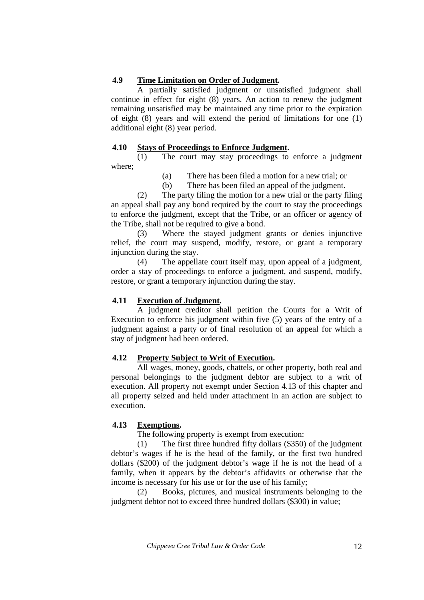## **4.9 Time Limitation on Order of Judgment.**

 A partially satisfied judgment or unsatisfied judgment shall continue in effect for eight (8) years. An action to renew the judgment remaining unsatisfied may be maintained any time prior to the expiration of eight (8) years and will extend the period of limitations for one (1) additional eight (8) year period.

## **4.10 Stays of Proceedings to Enforce Judgment.**

(1) The court may stay proceedings to enforce a judgment where;

- (a) There has been filed a motion for a new trial; or
- (b) There has been filed an appeal of the judgment.

 (2) The party filing the motion for a new trial or the party filing an appeal shall pay any bond required by the court to stay the proceedings to enforce the judgment, except that the Tribe, or an officer or agency of the Tribe, shall not be required to give a bond.

 (3) Where the stayed judgment grants or denies injunctive relief, the court may suspend, modify, restore, or grant a temporary injunction during the stay.

 (4) The appellate court itself may, upon appeal of a judgment, order a stay of proceedings to enforce a judgment, and suspend, modify, restore, or grant a temporary injunction during the stay.

## **4.11 Execution of Judgment.**

A judgment creditor shall petition the Courts for a Writ of Execution to enforce his judgment within five (5) years of the entry of a judgment against a party or of final resolution of an appeal for which a stay of judgment had been ordered.

## **4.12 Property Subject to Writ of Execution.**

All wages, money, goods, chattels, or other property, both real and personal belongings to the judgment debtor are subject to a writ of execution. All property not exempt under Section 4.13 of this chapter and all property seized and held under attachment in an action are subject to execution.

# **4.13 Exemptions.**

The following property is exempt from execution:

(1) The first three hundred fifty dollars (\$350) of the judgment debtor's wages if he is the head of the family, or the first two hundred dollars (\$200) of the judgment debtor's wage if he is not the head of a family, when it appears by the debtor's affidavits or otherwise that the income is necessary for his use or for the use of his family;

 (2) Books, pictures, and musical instruments belonging to the judgment debtor not to exceed three hundred dollars (\$300) in value;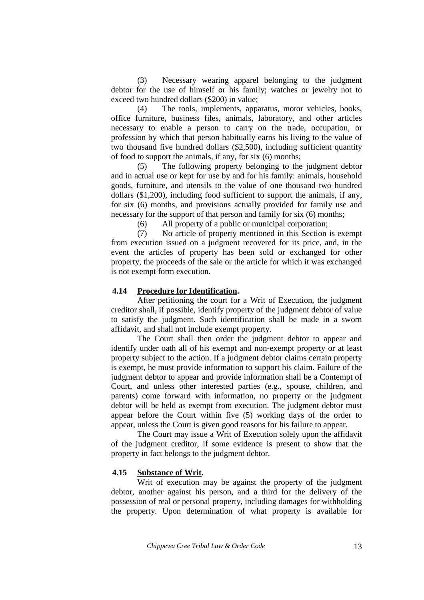(3) Necessary wearing apparel belonging to the judgment debtor for the use of himself or his family; watches or jewelry not to exceed two hundred dollars (\$200) in value;

 (4) The tools, implements, apparatus, motor vehicles, books, office furniture, business files, animals, laboratory, and other articles necessary to enable a person to carry on the trade, occupation, or profession by which that person habitually earns his living to the value of two thousand five hundred dollars (\$2,500), including sufficient quantity of food to support the animals, if any, for six (6) months;

 (5) The following property belonging to the judgment debtor and in actual use or kept for use by and for his family: animals, household goods, furniture, and utensils to the value of one thousand two hundred dollars (\$1,200), including food sufficient to support the animals, if any, for six (6) months, and provisions actually provided for family use and necessary for the support of that person and family for six (6) months;

(6) All property of a public or municipal corporation;

 (7) No article of property mentioned in this Section is exempt from execution issued on a judgment recovered for its price, and, in the event the articles of property has been sold or exchanged for other property, the proceeds of the sale or the article for which it was exchanged is not exempt form execution.

#### **4.14 Procedure for Identification.**

After petitioning the court for a Writ of Execution, the judgment creditor shall, if possible, identify property of the judgment debtor of value to satisfy the judgment. Such identification shall be made in a sworn affidavit, and shall not include exempt property.

 The Court shall then order the judgment debtor to appear and identify under oath all of his exempt and non-exempt property or at least property subject to the action. If a judgment debtor claims certain property is exempt, he must provide information to support his claim. Failure of the judgment debtor to appear and provide information shall be a Contempt of Court, and unless other interested parties (e.g., spouse, children, and parents) come forward with information, no property or the judgment debtor will be held as exempt from execution. The judgment debtor must appear before the Court within five (5) working days of the order to appear, unless the Court is given good reasons for his failure to appear.

 The Court may issue a Writ of Execution solely upon the affidavit of the judgment creditor, if some evidence is present to show that the property in fact belongs to the judgment debtor.

#### **4.15 Substance of Writ.**

Writ of execution may be against the property of the judgment debtor, another against his person, and a third for the delivery of the possession of real or personal property, including damages for withholding the property. Upon determination of what property is available for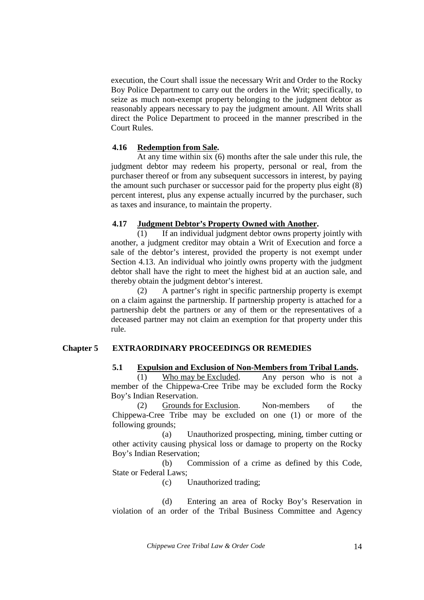execution, the Court shall issue the necessary Writ and Order to the Rocky Boy Police Department to carry out the orders in the Writ; specifically, to seize as much non-exempt property belonging to the judgment debtor as reasonably appears necessary to pay the judgment amount. All Writs shall direct the Police Department to proceed in the manner prescribed in the Court Rules.

#### **4.16 Redemption from Sale.**

At any time within six (6) months after the sale under this rule, the judgment debtor may redeem his property, personal or real, from the purchaser thereof or from any subsequent successors in interest, by paying the amount such purchaser or successor paid for the property plus eight (8) percent interest, plus any expense actually incurred by the purchaser, such as taxes and insurance, to maintain the property.

## **4.17 Judgment Debtor's Property Owned with Another.**

(1) If an individual judgment debtor owns property jointly with another, a judgment creditor may obtain a Writ of Execution and force a sale of the debtor's interest, provided the property is not exempt under Section 4.13. An individual who jointly owns property with the judgment debtor shall have the right to meet the highest bid at an auction sale, and thereby obtain the judgment debtor's interest.

 (2) A partner's right in specific partnership property is exempt on a claim against the partnership. If partnership property is attached for a partnership debt the partners or any of them or the representatives of a deceased partner may not claim an exemption for that property under this rule.

#### **Chapter 5 EXTRAORDINARY PROCEEDINGS OR REMEDIES**

#### **5.1 Expulsion and Exclusion of Non-Members from Tribal Lands.**

(1) Who may be Excluded. Any person who is not a member of the Chippewa-Cree Tribe may be excluded form the Rocky Boy's Indian Reservation.

 (2) Grounds for Exclusion. Non-members of the Chippewa-Cree Tribe may be excluded on one (1) or more of the following grounds;

 (a) Unauthorized prospecting, mining, timber cutting or other activity causing physical loss or damage to property on the Rocky Boy's Indian Reservation;

 (b) Commission of a crime as defined by this Code, State or Federal Laws;

(c) Unauthorized trading;

 (d) Entering an area of Rocky Boy's Reservation in violation of an order of the Tribal Business Committee and Agency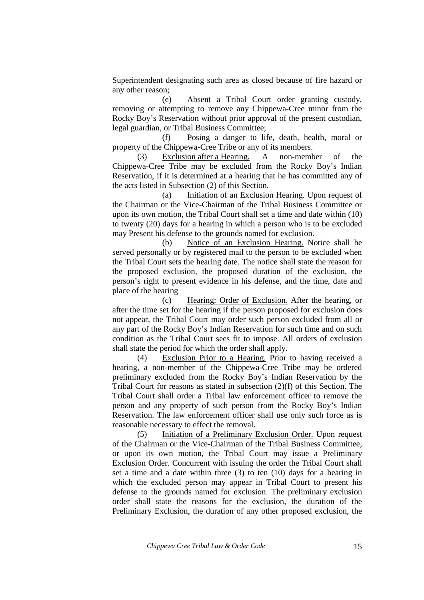Superintendent designating such area as closed because of fire hazard or any other reason;

 (e) Absent a Tribal Court order granting custody, removing or attempting to remove any Chippewa-Cree minor from the Rocky Boy's Reservation without prior approval of the present custodian, legal guardian, or Tribal Business Committee;

 (f) Posing a danger to life, death, health, moral or property of the Chippewa-Cree Tribe or any of its members.

 (3) Exclusion after a Hearing. A non-member of the Chippewa-Cree Tribe may be excluded from the Rocky Boy's Indian Reservation, if it is determined at a hearing that he has committed any of the acts listed in Subsection (2) of this Section.

 (a) Initiation of an Exclusion Hearing. Upon request of the Chairman or the Vice-Chairman of the Tribal Business Committee or upon its own motion, the Tribal Court shall set a time and date within (10) to twenty (20) days for a hearing in which a person who is to be excluded may Present his defense to the grounds named for exclusion.

 (b) Notice of an Exclusion Hearing. Notice shall be served personally or by registered mail to the person to be excluded when the Tribal Court sets the hearing date. The notice shall state the reason for the proposed exclusion, the proposed duration of the exclusion, the person's right to present evidence in his defense, and the time, date and place of the hearing

 (c) Hearing: Order of Exclusion. After the hearing, or after the time set for the hearing if the person proposed for exclusion does not appear, the Tribal Court may order such person excluded from all or any part of the Rocky Boy's Indian Reservation for such time and on such condition as the Tribal Court sees fit to impose. All orders of exclusion shall state the period for which the order shall apply.

 (4) Exclusion Prior to a Hearing. Prior to having received a hearing, a non-member of the Chippewa-Cree Tribe may be ordered preliminary excluded from the Rocky Boy's Indian Reservation by the Tribal Court for reasons as stated in subsection (2)(f) of this Section. The Tribal Court shall order a Tribal law enforcement officer to remove the person and any property of such person from the Rocky Boy's Indian Reservation. The law enforcement officer shall use only such force as is reasonable necessary to effect the removal.

 (5) Initiation of a Preliminary Exclusion Order. Upon request of the Chairman or the Vice-Chairman of the Tribal Business Committee, or upon its own motion, the Tribal Court may issue a Preliminary Exclusion Order. Concurrent with issuing the order the Tribal Court shall set a time and a date within three (3) to ten (10) days for a hearing in which the excluded person may appear in Tribal Court to present his defense to the grounds named for exclusion. The preliminary exclusion order shall state the reasons for the exclusion, the duration of the Preliminary Exclusion, the duration of any other proposed exclusion, the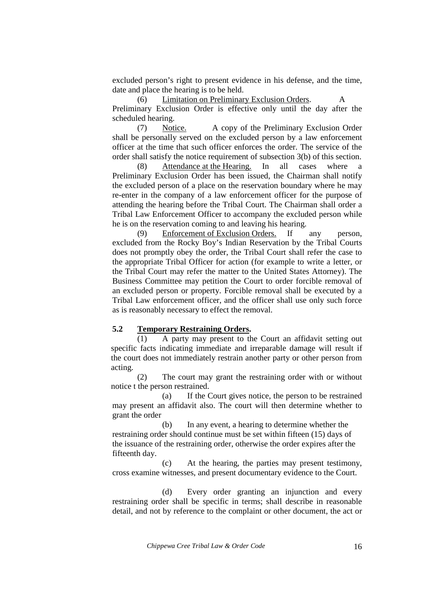excluded person's right to present evidence in his defense, and the time, date and place the hearing is to be held.

 (6) Limitation on Preliminary Exclusion Orders. A Preliminary Exclusion Order is effective only until the day after the scheduled hearing.

 (7) Notice. A copy of the Preliminary Exclusion Order shall be personally served on the excluded person by a law enforcement officer at the time that such officer enforces the order. The service of the order shall satisfy the notice requirement of subsection 3(b) of this section.

 (8) Attendance at the Hearing. In all cases where a Preliminary Exclusion Order has been issued, the Chairman shall notify the excluded person of a place on the reservation boundary where he may re-enter in the company of a law enforcement officer for the purpose of attending the hearing before the Tribal Court. The Chairman shall order a Tribal Law Enforcement Officer to accompany the excluded person while he is on the reservation coming to and leaving his hearing.

 (9) Enforcement of Exclusion Orders. If any person, excluded from the Rocky Boy's Indian Reservation by the Tribal Courts does not promptly obey the order, the Tribal Court shall refer the case to the appropriate Tribal Officer for action (for example to write a letter, or the Tribal Court may refer the matter to the United States Attorney). The Business Committee may petition the Court to order forcible removal of an excluded person or property. Forcible removal shall be executed by a Tribal Law enforcement officer, and the officer shall use only such force as is reasonably necessary to effect the removal.

#### **5.2 Temporary Restraining Orders.**

(1) A party may present to the Court an affidavit setting out specific facts indicating immediate and irreparable damage will result if the court does not immediately restrain another party or other person from acting.

 (2) The court may grant the restraining order with or without notice t the person restrained.

 (a) If the Court gives notice, the person to be restrained may present an affidavit also. The court will then determine whether to grant the order

 (b) In any event, a hearing to determine whether the restraining order should continue must be set within fifteen (15) days of the issuance of the restraining order, otherwise the order expires after the fifteenth day.

 (c) At the hearing, the parties may present testimony, cross examine witnesses, and present documentary evidence to the Court.

 (d) Every order granting an injunction and every restraining order shall be specific in terms; shall describe in reasonable detail, and not by reference to the complaint or other document, the act or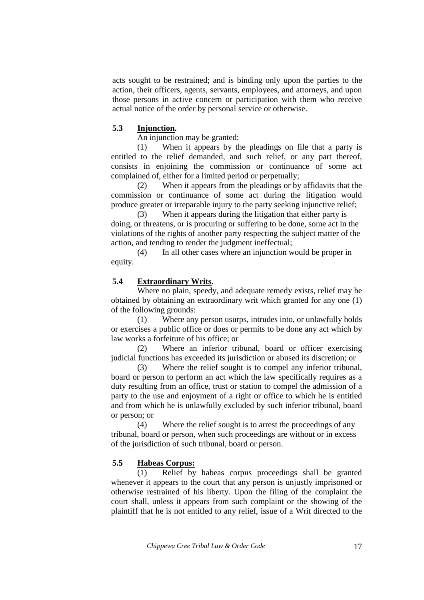acts sought to be restrained; and is binding only upon the parties to the action, their officers, agents, servants, employees, and attorneys, and upon those persons in active concern or participation with them who receive actual notice of the order by personal service or otherwise.

#### **5.3 Injunction.**

An injunction may be granted:

 (1) When it appears by the pleadings on file that a party is entitled to the relief demanded, and such relief, or any part thereof, consists in enjoining the commission or continuance of some act complained of, either for a limited period or perpetually;

 (2) When it appears from the pleadings or by affidavits that the commission or continuance of some act during the litigation would produce greater or irreparable injury to the party seeking injunctive relief;

 (3) When it appears during the litigation that either party is doing, or threatens, or is procuring or suffering to be done, some act in the violations of the rights of another party respecting the subject matter of the action, and tending to render the judgment ineffectual;

 (4) In all other cases where an injunction would be proper in equity.

#### **5.4 Extraordinary Writs.**

Where no plain, speedy, and adequate remedy exists, relief may be obtained by obtaining an extraordinary writ which granted for any one (1) of the following grounds:

 (1) Where any person usurps, intrudes into, or unlawfully holds or exercises a public office or does or permits to be done any act which by law works a forfeiture of his office; or

 (2) Where an inferior tribunal, board or officer exercising judicial functions has exceeded its jurisdiction or abused its discretion; or

 (3) Where the relief sought is to compel any inferior tribunal, board or person to perform an act which the law specifically requires as a duty resulting from an office, trust or station to compel the admission of a party to the use and enjoyment of a right or office to which he is entitled and from which he is unlawfully excluded by such inferior tribunal, board or person; or

 (4) Where the relief sought is to arrest the proceedings of any tribunal, board or person, when such proceedings are without or in excess of the jurisdiction of such tribunal, board or person.

#### **5.5 Habeas Corpus:**

(1) Relief by habeas corpus proceedings shall be granted whenever it appears to the court that any person is unjustly imprisoned or otherwise restrained of his liberty. Upon the filing of the complaint the court shall, unless it appears from such complaint or the showing of the plaintiff that he is not entitled to any relief, issue of a Writ directed to the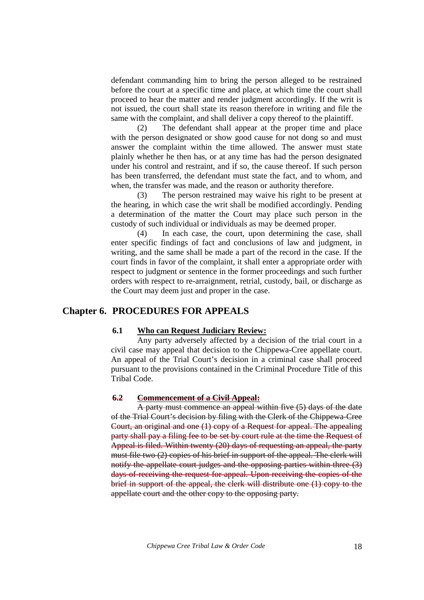defendant commanding him to bring the person alleged to be restrained before the court at a specific time and place, at which time the court shall proceed to hear the matter and render judgment accordingly. If the writ is not issued, the court shall state its reason therefore in writing and file the same with the complaint, and shall deliver a copy thereof to the plaintiff.

 (2) The defendant shall appear at the proper time and place with the person designated or show good cause for not dong so and must answer the complaint within the time allowed. The answer must state plainly whether he then has, or at any time has had the person designated under his control and restraint, and if so, the cause thereof. If such person has been transferred, the defendant must state the fact, and to whom, and when, the transfer was made, and the reason or authority therefore.

 (3) The person restrained may waive his right to be present at the hearing, in which case the writ shall be modified accordingly. Pending a determination of the matter the Court may place such person in the custody of such individual or individuals as may be deemed proper.

 (4) In each case, the court, upon determining the case, shall enter specific findings of fact and conclusions of law and judgment, in writing, and the same shall be made a part of the record in the case. If the court finds in favor of the complaint, it shall enter a appropriate order with respect to judgment or sentence in the former proceedings and such further orders with respect to re-arraignment, retrial, custody, bail, or discharge as the Court may deem just and proper in the case.

## **Chapter 6. PROCEDURES FOR APPEALS**

### **6.1 Who can Request Judiciary Review:**

Any party adversely affected by a decision of the trial court in a civil case may appeal that decision to the Chippewa-Cree appellate court. An appeal of the Trial Court's decision in a criminal case shall proceed pursuant to the provisions contained in the Criminal Procedure Title of this Tribal Code.

#### **6.2 Commencement of a Civil Appeal:**

A party must commence an appeal within five (5) days of the date of the Trial Court's decision by filing with the Clerk of the Chippewa-Cree Court, an original and one (1) copy of a Request for appeal. The appealing party shall pay a filing fee to be set by court rule at the time the Request of Appeal is filed. Within twenty (20) days of requesting an appeal, the party must file two (2) copies of his brief in support of the appeal. The clerk will notify the appellate court judges and the opposing parties within three (3) days of receiving the request for appeal. Upon receiving the copies of the brief in support of the appeal, the clerk will distribute one (1) copy to the appellate court and the other copy to the opposing party.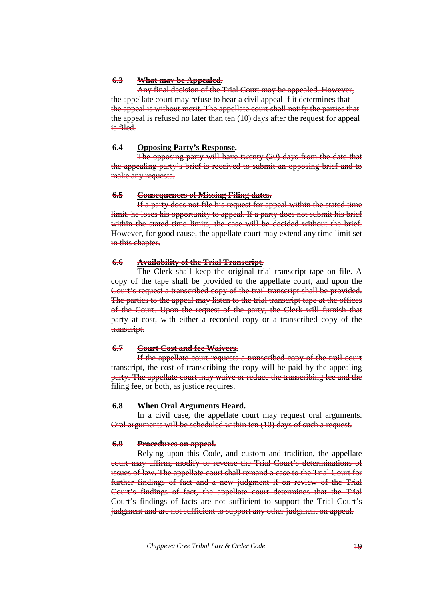## **6.3 What may be Appealed.**

 Any final decision of the Trial Court may be appealed. However, the appellate court may refuse to hear a civil appeal if it determines that the appeal is without merit. The appellate court shall notify the parties that the appeal is refused no later than ten (10) days after the request for appeal is filed.

### **6.4 Opposing Party's Response.**

The opposing party will have twenty (20) days from the date that the appealing party's brief is received to submit an opposing brief and to make any requests.

#### **6.5 Consequences of Missing Filing dates.**

 If a party does not file his request for appeal within the stated time limit, he loses his opportunity to appeal. If a party does not submit his brief within the stated time limits, the case will be decided without the brief. However, for good cause, the appellate court may extend any time limit set in this chapter.

## **6.6 Availability of the Trial Transcript.**

 The Clerk shall keep the original trial transcript tape on file. A copy of the tape shall be provided to the appellate court, and upon the Court's request a transcribed copy of the trail transcript shall be provided. The parties to the appeal may listen to the trial transcript tape at the offices of the Court. Upon the request of the party, the Clerk will furnish that party at cost, with either a recorded copy or a transcribed copy of the transcript.

## **6.7 Court Cost and fee Waivers.**

If the appellate court requests a transcribed copy of the trail court transcript, the cost of transcribing the copy will be paid by the appealing party. The appellate court may waive or reduce the transcribing fee and the filing fee, or both, as justice requires.

#### **6.8 When Oral Arguments Heard.**

In a civil case, the appellate court may request oral arguments. Oral arguments will be scheduled within ten (10) days of such a request.

#### **6.9 Procedures on appeal.**

 Relying upon this Code, and custom and tradition, the appellate court may affirm, modify or reverse the Trial Court's determinations of issues of law. The appellate court shall remand a case to the Trial Court for further findings of fact and a new judgment if on review of the Trial Court's findings of fact, the appellate court determines that the Trial Court's findings of facts are not sufficient to support the Trial Court's judgment and are not sufficient to support any other judgment on appeal.